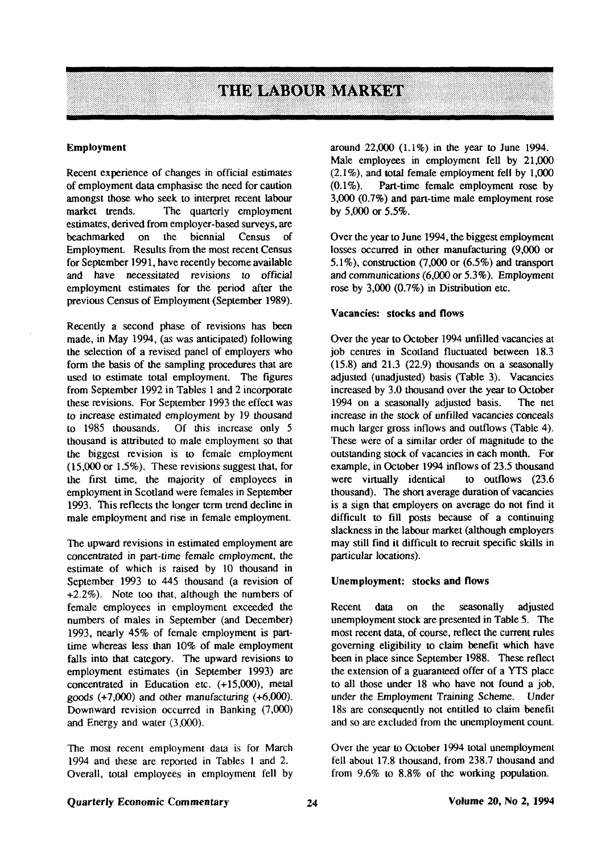

#### **Employment**

Recent experience of changes in official estimates of employment data emphasise the need for caution amongst those who seek to interpret recent labour market trends. The quarterly employment estimates, derived from employer-based surveys, are beachmarked on the biennial Census of Employment. Results from the most recent Census for September 1991, have recently become available and have necessitated revisions to official employment estimates for the period after the previous Census of Employment (September 1989).

Recently a second phase of revisions has been made, in May 1994, (as was anticipated) following the selection of a revised panel of employers who form the basis of the sampling procedures that are used to estimate total employment. The figures from September 1992 in Tables 1 and 2 incorporate these revisions. For September 1993 the effect was to increase estimated employment by 19 thousand to 1985 thousands. Of this increase only 5 thousand is attributed to male employment so that the biggest revision is to female employment (15,000 or 1.5%). These revisions suggest that, for the first time, the majority of employees in employment in Scotland were females in September 1993. This reflects the longer term trend decline in male employment and rise in female employment.

The upward revisions in estimated employment are concentrated in part-time female employment, the estimate of which is raised by 10 thousand in September 1993 to 445 thousand (a revision of +2.2%). Note too that, although the numbers of female employees in employment exceeded the numbers of males in September (and December) 1993, nearly 45% of female employment is parttime whereas less than 10% of male employment falls into that category. The upward revisions to employment estimates (in September 1993) are concentrated in Education etc. (+15,000), metal goods (+7,000) and other manufacturing (+6,000). Downward revision occurred in Banking (7,000) and Energy and water (3,000).

The most recent employment data is for March 1994 and these are reported in Tables 1 and 2. Overall, total employees in employment fell by around 22,000 (1.1%) in the year to June 1994. Male employees in employment fell by 21,000  $(2.1\%)$ , and total female employment fell by 1,000  $(0.1\%)$ . Part-time female employment rose by Part-time female employment rose by 3,000 (0.7%) and part-time male employment rose by 5,000 or 5.5%.

Over the year to June 1994, the biggest employment losses occurred in other manufacturing (9,000 or 5.1%), construction (7,000 or (6.5%) and transport and communications (6,000 or 5.3%). Employment rose by 3,000 (0.7%) in Distribution etc.

## Vacancies: **stocks and flows**

Over the year to October 1994 unfilled vacancies at job centres in Scotland fluctuated between 18.3  $(15.8)$  and  $21.3$   $(22.9)$  thousands on a seasonally adjusted (unadjusted) basis (Table 3). Vacancies increased by 3.0 thousand over the year to October 1994 on a seasonally adjusted basis. The net increase in the stock of unfilled vacancies conceals much larger gross inflows and outflows (Table 4). These were of a similar order of magnitude to the outstanding stock of vacancies in each month. For example, in October 1994 inflows of 23.5 thousand were virtually identical to outflows (23.6 thousand). The short average duration of vacancies is a sign that employers on average do not find it difficult to fill posts because of a continuing slackness in the labour market (although employers may still find it difficult to recruit specific skills in particular locations).

## **Unemployment: stocks and flows**

Recent data on the seasonally adjusted unemployment stock are presented in Table 5. The most recent data, of course, reflect the current rules governing eligibility to claim benefit which have been in place since September 1988. These reflect the extension of a guaranteed offer of a YTS place to all those under 18 who have not found a job, under the Employment Training Scheme. Under 18s are consequently not entitled to claim benefit and so are excluded from the unemployment count.

Over the year to October 1994 total unemployment fell about 17.8 thousand, from 238.7 thousand and from 9.6% to 8.8% of the working population.

## Quarterly Economic Commentary **Volume 20, No 2, 1994**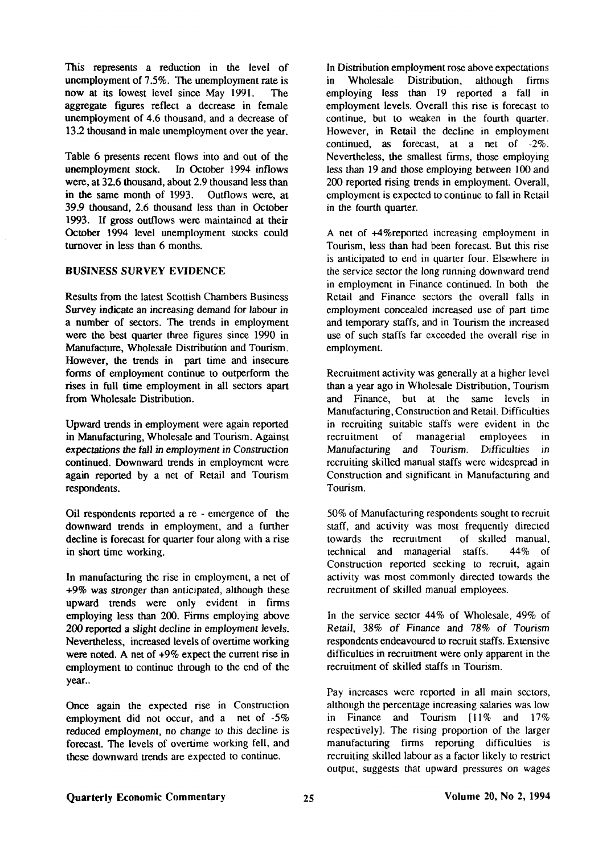This represents a reduction in the level of unemployment of 7.5%. The unemployment rate is now at its lowest level since May 1991. The aggregate figures reflect a decrease in female unemployment of 4.6 thousand, and a decrease of 13.2 thousand in male unemployment over the year.

Table 6 presents recent flows into and out of the unemployment stock. In October 1994 inflows were, at 32.6 thousand, about 2.9 thousand less than in the same month of 1993. Outflows were, at 39.9 thousand, 2.6 thousand less than in October 1993. If gross outflows were maintained at their October 1994 level unemployment stocks could turnover in less than 6 months.

## BUSINESS SURVEY EVIDENCE

Results from the latest Scottish Chambers Business Survey indicate an increasing demand for labour in a number of sectors. The trends in employment were the best quarter three figures since 1990 in Manufacture, Wholesale Distribution and Tourism. However, the trends in part time and insecure forms of employment continue to outperform the rises in full time employment in all sectors apart from Wholesale Distribution.

Upward trends in employment were again reported in Manufacturing, Wholesale and Tourism. Against expectations the fall in employment in Construction continued. Downward trends in employment were again reported by a net of Retail and Tourism respondents.

Oil respondents reported a re - emergence of the downward trends in employment, and a further decline is forecast for quarter four along with a rise in short time working.

In manufacturing the rise in employment, a net of +9% was stronger than anticipated, although these upward trends were only evident in firms employing less than 200. Firms employing above 200 reported a slight decline in employment levels. Nevertheless, increased levels of overtime working were noted. A net of  $+9\%$  expect the current rise in employment to continue through to the end of the year..

Once again the expected rise in Construction employment did not occur, and a net of -5% reduced employment, no change to this decline is forecast. The levels of overtime working fell, and these downward trends are expected to continue.

In Distribution employment rose above expectations in Wholesale Distribution, although firms employing less than 19 reported a fall in employment levels. Overall this rise is forecast to continue, but to weaken in the fourth quarter. However, in Retail the decline in employment continued, as forecast, at a net of -2%. Nevertheless, the smallest firms, those employing less than 19 and those employing between 100 and 200 reported rising trends in employment. Overall, employment is expected to continue to fall in Retail in the fourth quarter.

A net of +4%reported increasing employment in Tourism, less than had been forecast. But this rise is anticipated to end in quarter four. Elsewhere in the service sector the long running downward trend in employment in Finance continued. In both the Retail and Finance sectors the overall falls in employment concealed increased use of part time and temporary staffs, and in Tourism the increased use of such staffs far exceeded the overall rise in employment.

Recruitment activity was generally at a higher level than a year ago in Wholesale Distribution, Tourism and Finance, but at the same levels in Manufacturing, Construction and Retail. Difficulties in recruiting suitable staffs were evident in the recruitment of managerial employees in Manufacturing and Tourism. Difficulties in recruiting skilled manual staffs were widespread in Construction and significant in Manufacturing and Tourism.

50% of Manufacturing respondents sought to recruit staff, and activity was most frequently directed towards the recruitment of skilled manual, technical and managerial staffs. 44% of Construction reported seeking to recruit, again activity was most commonly directed towards the recruitment of skilled manual employees.

In the service sector 44% of Wholesale, 49% of Retail, 38% of Finance and 78% of Tourism respondents endeavoured to recruit staffs. Extensive difficulties in recruitment were only apparent in the recruitment of skilled staffs in Tourism.

Pay increases were reported in all main sectors, although the percentage increasing salaries was low in Finance and Tourism [11% and 17% respectively]. The rising proportion of the larger manufacturing firms reporting difficulties is recruiting skilled labour as a factor likely to restrict output, suggests that upward pressures on wages

# Quarterly Economic Commentary 25 25 Volume 20, No 2, 1994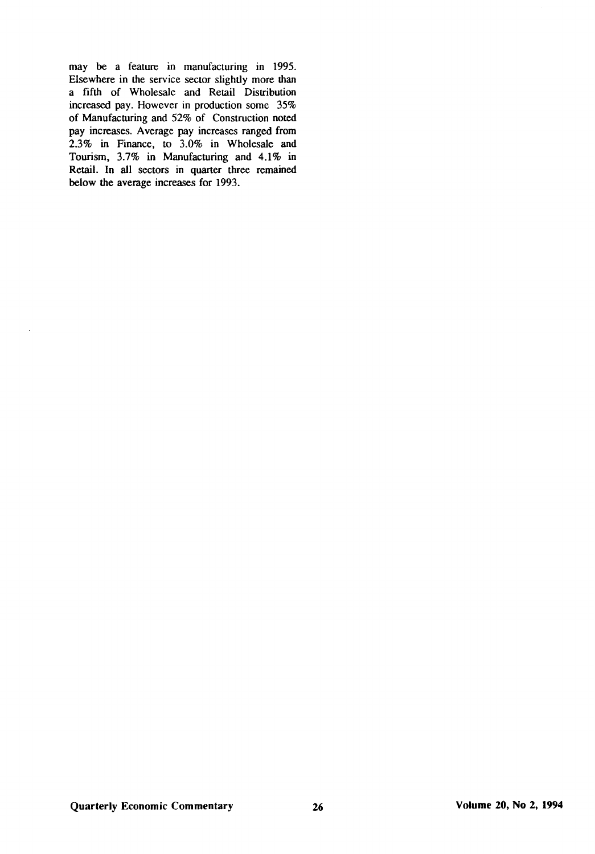may be a feature in manufacturing in 1995. Elsewhere in the service sector slightly more than a fifth of Wholesale and Retail Distribution increased pay. However in production some 35% of Manufacturing and 52% of Construction noted pay increases. Average pay increases ranged from 2.3% in Finance, to 3.0% in Wholesale and Tourism, 3.7% in Manufacturing and 4.1% in Retail. In all sectors in quarter three remained below the average increases for 1993.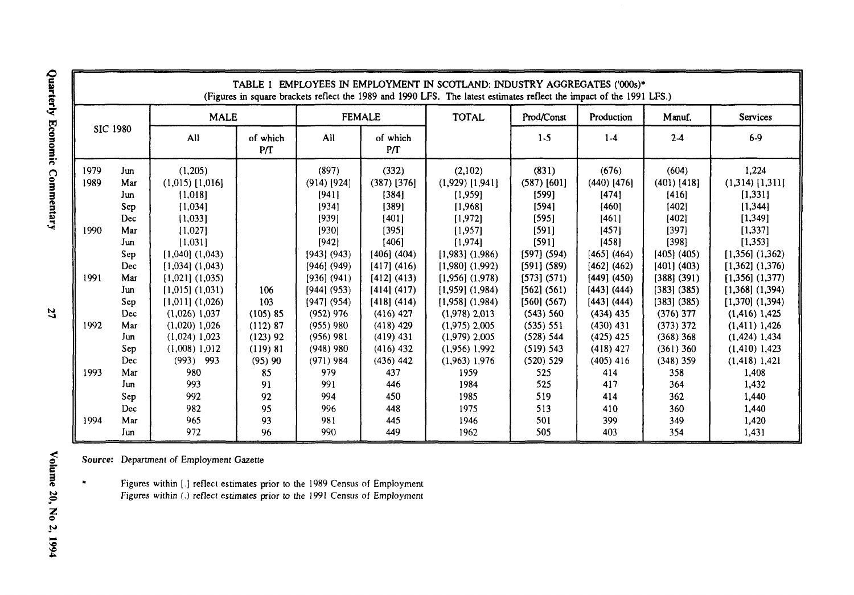|                              |                                                                           | EMPLOYEES IN EMPLOYMENT IN SCOTLAND: INDUSTRY AGGREGATES ('000s)*<br>TABLE 1<br>(Figures in square brackets reflect the 1989 and 1990 LFS. The latest estimates reflect the impact of the 1991 LFS.)<br><b>FEMALE</b> |                                                                                                  |                                                                                                                                 |                                                                                                                                   |                                                                                                                                                                                 |                                                                                                                                 |                                                                                                                                 |                                                                                                                                   |                                                                                                                                                                                  |
|------------------------------|---------------------------------------------------------------------------|-----------------------------------------------------------------------------------------------------------------------------------------------------------------------------------------------------------------------|--------------------------------------------------------------------------------------------------|---------------------------------------------------------------------------------------------------------------------------------|-----------------------------------------------------------------------------------------------------------------------------------|---------------------------------------------------------------------------------------------------------------------------------------------------------------------------------|---------------------------------------------------------------------------------------------------------------------------------|---------------------------------------------------------------------------------------------------------------------------------|-----------------------------------------------------------------------------------------------------------------------------------|----------------------------------------------------------------------------------------------------------------------------------------------------------------------------------|
| <b>SIC 1980</b>              |                                                                           | <b>MALE</b>                                                                                                                                                                                                           |                                                                                                  |                                                                                                                                 |                                                                                                                                   | <b>TOTAL</b>                                                                                                                                                                    | Prod/Const                                                                                                                      | Production                                                                                                                      | Manuf.                                                                                                                            | <b>Services</b>                                                                                                                                                                  |
|                              |                                                                           | All                                                                                                                                                                                                                   | of which<br>P/T                                                                                  | All                                                                                                                             | of which<br>P/T                                                                                                                   |                                                                                                                                                                                 | $1 - 5$                                                                                                                         | $1-4$                                                                                                                           | $2-4$                                                                                                                             | $6-9$                                                                                                                                                                            |
| 1979<br>1989<br>1990<br>1991 | Jun<br>Mar<br>Jun<br>Sep<br>Dec<br>Mar<br>Jun<br>Sep<br>Dec<br>Mar<br>Jun | (1,205)<br>$(1,015)$ [1,016]<br>[1,018]<br>[1,034]<br>[1,033]<br>[1,027]<br>[1,031]<br>$[1,040]$ $(1,043)$<br>$[1,034]$ $(1,043)$<br>$[1,021]$ $(1,035)$<br>$[1,015]$ $(1,031)$                                       | 106                                                                                              | (897)<br>$(914)$ [924]<br>[941]<br>[934]<br>[939]<br>[930]<br>[942]<br>[943] (943)<br>[946] (949)<br>[936] (941)<br>[944] (953) | (332)<br>$(387)$ [376]<br>[384]<br>[389]<br>[401]<br>[395]<br>[406]<br>$[406]$ (404)<br>[417] (416)<br>[412] (413)<br>[414] (417) | (2,102)<br>$(1,929)$ [1,941]<br>[1,959]<br>[1,968]<br>[1,972]<br>[1,957]<br>[1,974]<br>$[1,983]$ $(1,986)$<br>$[1,980]$ $(1,992)$<br>$[1,956]$ $(1,978)$<br>$[1,959]$ $(1,984)$ | (831)<br>$(587)$ [601]<br>[599]<br>[594]<br>[595]<br>[591]<br>[591]<br>[597] (594)<br>[591] (589)<br>[573] (571)<br>[562] (561) | (676)<br>$(440)$ [476]<br>[474]<br>[460]<br>[461]<br>[457]<br>[458]<br>[465] (464)<br>[462] (462)<br>[449] (450)<br>[443] (444) | (604)<br>$(401)$ [418]<br>[416]<br>[402]<br>[402]<br>[397]<br>[398]<br>[405] (405)<br>[401] (403)<br>$[388]$ (391)<br>[383] (385) | 1.224<br>$(1,314)$ [1,311]<br>[1, 331]<br>[1, 344]<br>[1, 349]<br>[1, 337]<br>[1, 353]<br>$[1,356]$ $(1,362)$<br>$[1,362]$ $(1,376)$<br>$[1,356]$ $(1,377)$<br>$[1,368]$ (1,394) |
| 1992<br>1993<br>1994         | Sep<br>Dec<br>Mar<br>Jun<br>Sep<br>Dec<br>Mar<br>Jun<br>Sep<br>Dec<br>Mar | $[1,011]$ $(1,026)$<br>$(1,026)$ 1,037<br>$(1,020)$ 1,026<br>$(1,024)$ 1,023<br>$(1,008)$ 1.012<br>(993)<br>993<br>980<br>993<br>992<br>982<br>965                                                                    | 103<br>(105) 85<br>(112) 87<br>$(123)$ 92<br>(119) 81<br>$(95)$ 90<br>85<br>91<br>92<br>95<br>93 | $[947]$ (954)<br>$(952)$ 976<br>$(955)$ 980<br>$(956)$ 981<br>$(948)$ 980<br>$(971)$ 984<br>979<br>991<br>994<br>996<br>981     | [418] (414)<br>$(416)$ 427<br>$(418)$ 429<br>$(419)$ 431<br>$(416)$ 432<br>$(436)$ 442<br>437<br>446<br>450<br>448<br>445         | $[1,958]$ $(1,984)$<br>$(1,978)$ 2,013<br>$(1,975)$ 2,005<br>$(1,979)$ 2,005<br>$(1,956)$ 1,992<br>$(1,963)$ 1,976<br>1959<br>1984<br>1985<br>1975<br>1946                      | [560] (567)<br>(543) 560<br>(535) 551<br>(528) 544<br>(519) 543<br>(520) 529<br>525<br>525<br>519<br>513<br>501                 | [443] (444)<br>$(434)$ 435<br>$(430)$ 431<br>$(425)$ 425<br>$(418)$ 427<br>$(405)$ 416<br>414<br>417<br>414<br>410<br>399       | [383] (385)<br>$(376)$ 377<br>(373) 372<br>(368) 368<br>$(361)$ 360<br>$(348)$ 359<br>358<br>364<br>362<br>360<br>349             | $[1,370]$ (1,394)<br>$(1,416)$ 1,425<br>$(1,411)$ 1,426<br>$(1, 424)$ 1,434<br>$(1,410)$ 1,423<br>$(1, 418)$ 1,421<br>1,408<br>1,432<br>1,440<br>1,440<br>1,420                  |

*Source:* Department of Employment Gazette

Figures within [.] reflect estimates prior to the 1989 Census of Employment Figures within (.) reflect estimates prior to the 1991 Census of Employment

Quarterly Economic Commentary

 $\mathfrak{r}$ 

 $\bullet$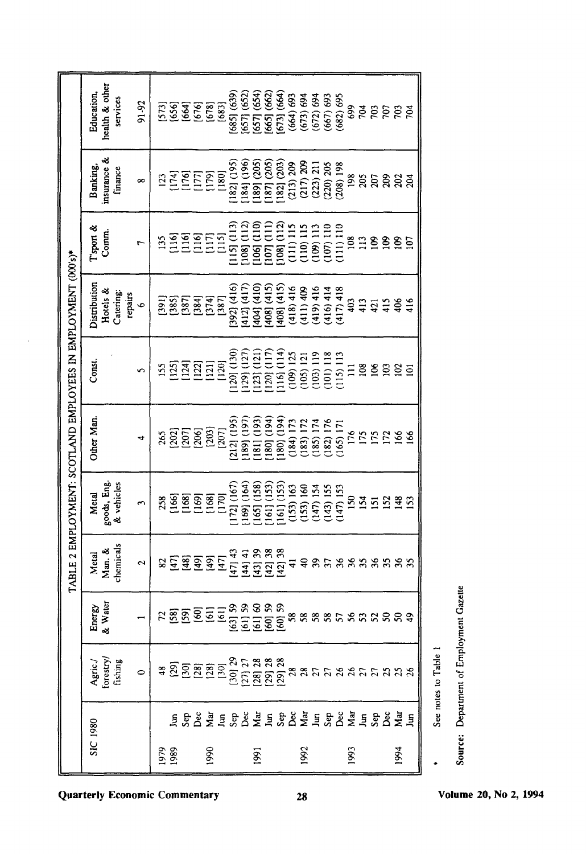|             |                                               |                                                                                                                                                      |                   |                               |                                                  |                                                 | TABLE 2 EMPLOYMENT: SCOTLAND EMPLOYEES IN EMPLOYMENT (000's)*                       |                                                  |                                                                                                                                                                                                                                                        |                                                                          |                                          |
|-------------|-----------------------------------------------|------------------------------------------------------------------------------------------------------------------------------------------------------|-------------------|-------------------------------|--------------------------------------------------|-------------------------------------------------|-------------------------------------------------------------------------------------|--------------------------------------------------|--------------------------------------------------------------------------------------------------------------------------------------------------------------------------------------------------------------------------------------------------------|--------------------------------------------------------------------------|------------------------------------------|
| SIC 1980    |                                               | ${\bf \small \begin{array}{c} {\textbf{A}} {\textbf{gric}} \textbf{.} \\ {\textbf{for} \textbf{stry}} \textbf{.} \\ {\textbf{fishing}} \end{array}}$ | Energy<br>& Water | Man. &<br>chemicals<br>Metal  | goods, Eng.<br>& vehicles<br>Metal               | Other Man.                                      | Const.                                                                              | Distribution<br>Hotels &<br>Catering:<br>repairs | I'sport &<br>Comm.                                                                                                                                                                                                                                     | insurance &<br>Banking,<br>finance                                       | health & other<br>Education,<br>services |
|             |                                               | $\overline{\phantom{0}}$                                                                                                                             |                   | 2                             | $\mathbf{\hat{z}}$                               | 4                                               | S                                                                                   | $\bullet$                                        | r                                                                                                                                                                                                                                                      | ∞                                                                        | 91-92                                    |
| 1979<br>889 |                                               |                                                                                                                                                      |                   |                               | 258                                              | 265                                             | 155                                                                                 | [39]                                             | 135                                                                                                                                                                                                                                                    | $\overline{2}$                                                           |                                          |
|             | E S S S S E S S S E S S S S S S E S S S S E E |                                                                                                                                                      |                   | <u>E a a i</u>                | <b>SSS</b>                                       | <b>and</b><br><b>and</b><br><b>and</b>          | $\frac{2}{2}$ $\frac{1}{2}$ $\frac{2}{2}$ $\frac{1}{2}$ $\frac{2}{2}$ $\frac{2}{2}$ | [385]                                            | SSEE<br>EEEEE                                                                                                                                                                                                                                          | $\frac{174}{176}$                                                        | 1573<br>1654<br>1678<br>1678             |
|             |                                               |                                                                                                                                                      |                   |                               |                                                  |                                                 |                                                                                     | 1387<br>1384<br>1374                             |                                                                                                                                                                                                                                                        | $[177]$                                                                  |                                          |
| 1990        |                                               |                                                                                                                                                      |                   | $\frac{1}{2}$                 | [168]                                            | [203]                                           |                                                                                     |                                                  |                                                                                                                                                                                                                                                        | $\begin{bmatrix} 179 \\ 180 \end{bmatrix}$                               | [683]                                    |
|             |                                               |                                                                                                                                                      |                   | [47] 43<br>$[47]$             | 172] (167)<br>[170]                              | 212] (195)<br>[207]                             | 120] (130)                                                                          | 392] (416)<br>[387]                              | 115] (113)                                                                                                                                                                                                                                             | 182] (195)                                                               | 685] (639)                               |
|             |                                               |                                                                                                                                                      |                   | [44] 41                       |                                                  | 189] (197                                       | [29] (127)                                                                          | 412] (417                                        | 108] (112)                                                                                                                                                                                                                                             |                                                                          | 657] (652)                               |
| <b>1991</b> |                                               |                                                                                                                                                      |                   | [43] 38<br>[42] 38<br>[42] 38 | $\begin{pmatrix} 169 \\ 165 \end{pmatrix}$ (164) | $[181] (193)$<br>$[180] (194)$<br>$[180] (194)$ | $\begin{array}{c} (123) \ (121) \\ (120) \ (117) \end{array}$                       | 404] (410)                                       |                                                                                                                                                                                                                                                        | [184] (196)<br>[189] (205)<br>[187] (205)<br>[182] (203)                 | [657] (654)<br>[665] (662)               |
|             |                                               |                                                                                                                                                      |                   |                               | 161] (153)                                       |                                                 |                                                                                     | 408] (415)<br>408] (415)                         |                                                                                                                                                                                                                                                        |                                                                          | (673) (664)                              |
|             |                                               |                                                                                                                                                      |                   |                               | 161] (153)                                       |                                                 | $116$ $(114)$<br>(109) 125                                                          |                                                  | $\begin{array}{l} [106] \, (110) \\ [107] \, (111) \\ [108] \, (112) \\ [108] \, (111) \\ [110] \, (111) \\ [110] \, (110) \\ [109] \, (111) \\ [110] \, (101) \\ [111] \, (110) \\ [111] \, (111) \, (110) \\ [111] \, (111) \, (110) \\ \end{array}$ | $\begin{array}{c} (213) \ 209 \\ (217) \ 209 \\ (223) \ 211 \end{array}$ | $(664)$ $(664)$                          |
| 1992        |                                               |                                                                                                                                                      |                   |                               | $(153) 163$<br>$(153) 160$<br>$(147) 154$        | $(184) 173$<br>$(183) 172$                      | $(105)$ 121<br>$(103)$ 119                                                          | $(418)$ 416<br>$(411)$ 409<br>$(419)$ 416        |                                                                                                                                                                                                                                                        |                                                                          | $(673) 694$<br>$(672) 694$               |
|             |                                               |                                                                                                                                                      |                   |                               |                                                  | (185) 174                                       |                                                                                     |                                                  |                                                                                                                                                                                                                                                        |                                                                          |                                          |
|             |                                               |                                                                                                                                                      |                   |                               | 143) 155                                         | 182) 176                                        | 101) 118                                                                            | (416) 414                                        |                                                                                                                                                                                                                                                        | (220) 205                                                                | (667)693                                 |
|             |                                               |                                                                                                                                                      |                   |                               | (147) 153                                        | $165$ ) $171$                                   | $115$ ) $113$                                                                       | 417) 418                                         |                                                                                                                                                                                                                                                        | $(208)$ 198                                                              | $(682)$ 695                              |
| 1993        |                                               |                                                                                                                                                      |                   |                               | 154<br>154                                       | 176                                             |                                                                                     | 403<br>413                                       | $\frac{8}{108}$                                                                                                                                                                                                                                        | 198                                                                      | <b>824</b>                               |
|             |                                               |                                                                                                                                                      |                   |                               |                                                  |                                                 | $\frac{8}{2}$                                                                       |                                                  | 113                                                                                                                                                                                                                                                    | 205                                                                      |                                          |
|             |                                               |                                                                                                                                                      |                   |                               | $\overline{5}$                                   | <b>1726</b>                                     | 106                                                                                 | 415                                              | $\frac{8}{2}$                                                                                                                                                                                                                                          | es<br>S                                                                  | <b>SOL</b>                               |
|             |                                               |                                                                                                                                                      |                   |                               | 152                                              |                                                 | $\Xi$                                                                               |                                                  |                                                                                                                                                                                                                                                        |                                                                          |                                          |
| 1994        |                                               |                                                                                                                                                      |                   |                               |                                                  |                                                 | 102                                                                                 | $406$<br>$416$                                   | $\mathbf{g}$                                                                                                                                                                                                                                           | ន្ត្រី                                                                   | 703                                      |
|             |                                               |                                                                                                                                                      |                   | 35                            | $\overline{153}$                                 | 166                                             | $\Xi$                                                                               |                                                  | $\overline{5}$                                                                                                                                                                                                                                         |                                                                          | ŘЯ                                       |

Source: Department of Employment Gazette See notes to Table 1

×

**Quarterly Economic Commentary** 

 $\bar{\mathcal{A}}$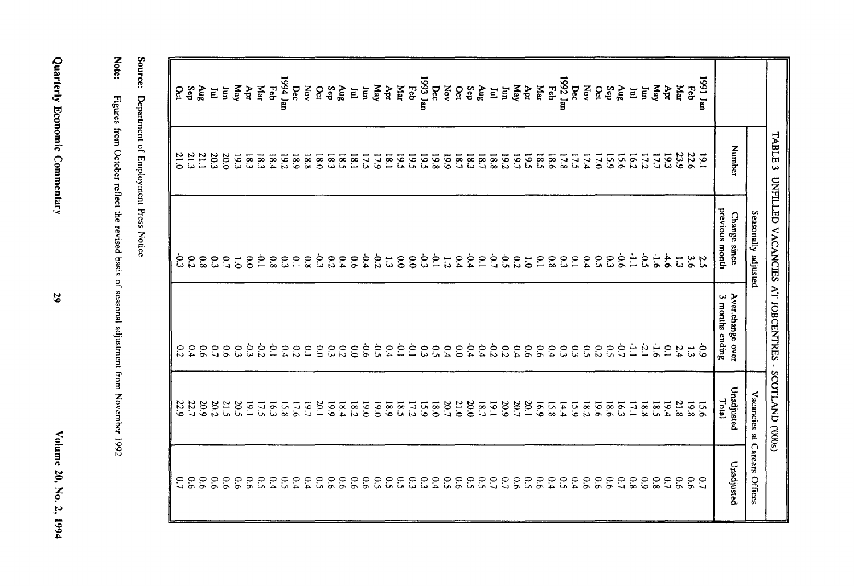Volume 20, No. 2, 1994

Quarterly Economic Commentary

| $\ddot{\phantom{0}}$                                                                                                                                                                                                          |
|-------------------------------------------------------------------------------------------------------------------------------------------------------------------------------------------------------------------------------|
| ļ                                                                                                                                                                                                                             |
| i                                                                                                                                                                                                                             |
|                                                                                                                                                                                                                               |
|                                                                                                                                                                                                                               |
|                                                                                                                                                                                                                               |
|                                                                                                                                                                                                                               |
|                                                                                                                                                                                                                               |
|                                                                                                                                                                                                                               |
|                                                                                                                                                                                                                               |
| a lead of the country contains the second company of the company of the contact of the country of the contact of the company of the company of the company of the company of the company of the company of the company of the |
|                                                                                                                                                                                                                               |
|                                                                                                                                                                                                                               |
| $\frac{1}{2}$                                                                                                                                                                                                                 |

Source: Department of Employment Press Notice

|                 | IABLE<br>U,  | UNFILLED VACANCIES AT JOBCENTRES | $\bullet$                           | SCOLLAND (300s)     |                                  |
|-----------------|--------------|----------------------------------|-------------------------------------|---------------------|----------------------------------|
|                 |              | Seasonally adjusted              |                                     |                     | Vacancies at Careers Offices     |
|                 | Number       | previous month<br>Change since   | Aver.change over<br>3 months ending | Unadjusted<br>Total | Unadjusted                       |
| <b>ung</b> 1661 | 19.1         | 5.5                              | $\frac{6}{6}$                       | <b>15.6</b>         | $\overline{c}$                   |
| Feb             | 22.6         | $\tilde{5}$                      | $\vec{5}$                           | 19.8                | $\overline{9}$                   |
| даг             | 23.9         | $\vec{u}$                        | 2.4                                 | 21.8                | 9.0                              |
| Apr             | 19.3         | 4.6                              | $\overline{10}$                     | 19.4                | $\overline{0}$                   |
| May             | 17.7         | $\ddot{9}$                       | $-1.6$                              | 18.5                | $\overline{\mathbf{8}}$          |
| Ĕ<br>E          | 16.2<br>17.2 | È<br>$\overline{c}$              | È<br>$\overline{C}$                 | 17.1<br>18.8        | $80^{\circ}$<br>$60^{\circ}$     |
| $\mathbf{a}$    | 15.6         | 9.6                              | $-0.7$                              | 16.3                | $\overline{C}$                   |
| Sep             | 15.9         | $\tilde{\omega}$                 | 50                                  | 9.81                | 0.6                              |
| Οct             | 17.0         | $\tilde{c}$                      | $\overline{c}$                      | 19.6                | 60                               |
| Nov             | 17.4         | 0.4                              | $\mathcal{C}$                       | 18.2                | $\overline{9}$                   |
| Dec             | 17.5         | $\mathbf{C}$                     | 33                                  | 15.9                | 0.4                              |
| 1992 Jan<br>Feb | 18.6<br>17.8 | 8.0<br>$\tilde{\mathbf{c}}$      | 0.4<br>$\mathbf{c}$                 | 15.8<br>14.4        | 6.4<br>$\tilde{\mathbf{c}}$      |
| дar             | 5.81         | $\dot{e}$                        | $\overline{90}$                     | 691                 | 6.6                              |
| Apr             | 553          | $\overline{5}$                   | 9.6                                 | 20.1                | $\tilde{c}$                      |
| May             | 19.7         | $\overline{c}$                   | 64                                  | 20.7                | 6.6                              |
| Iun<br>E        | 19.2<br>18.8 | $\sim$<br>$\overline{c}$         | 22<br>$\overline{c}$                | 20.9<br>19.1        | $\overline{C}$<br>$\overline{0}$ |
| <b>Aug</b>      | 18.7         | Ċ                                | 0.4                                 | 18.7                | $\tilde{\mathbf{c}}$             |
| Sep             | 18.3         | $-0.4$                           | 0.4                                 | 20.0                | $\tilde{\mathbf{c}}$             |
| Nov<br>$\delta$ | 661<br>18.7  | 0.4<br>$\overline{5}$            | 6.4<br>$\overline{0.0}$             | 21.0<br>20.7        | $\tilde{c}$<br>$\overline{9}$    |
| Dec             | 19.8         | $\overline{0}$                   | $\tilde{c}$                         | 0.81                | 0.4                              |
| 1993 Jan        | 5.5          | 69                               | $\mathbf{c}$                        | 15.9                | $\tilde{c}$                      |
| Feb             | 19.5         | $\overline{0}$                   | $\overline{C}$                      | 17.2                | $\tilde{c}$                      |
| Даг             | 19.5         | $60^{\circ}$                     | $\overline{C}$                      | 18.5                | $\tilde{\mathbf{c}}$             |
| Ą               | 18.1<br>17.9 | $\frac{1}{\omega}$<br>0.2        | 0.4<br>ςò                           | <b>18.9</b><br>0.91 | $\mathcal{C}$                    |
| May<br>Ξ        | 17.5         | 0.4                              | 9.6                                 | 0'61                | 9.0<br>$\tilde{\mathcal{C}}$     |
| E               | 18.1         | 6.6                              | 0.0                                 | 18.2                | $\overline{0.6}$                 |
| 8nV             | 5.81         | 0.4                              | 0.2                                 | 18.4                | 0.6                              |
| Sep             | 18.3         | 0.2                              | $\tilde{c}$                         | 661                 | $\overline{0}$                   |
| Nov<br>δc       | 18.0<br>18.8 | $\mathfrak{c}$<br>$8^\circ$      | $\tilde{c}$<br>$\overline{C}$       | 20.1<br>61          | 0.4<br>$\tilde{\mathcal{C}}$     |
| Dec             | 681          | $\tilde{C}$                      | $\overline{c}$                      | 971                 | 0.4                              |
| 1994 Jan        | 19.2         | $\tilde{c}$                      | $\overline{0}$                      | 15.8                | $\tilde{\mathbf{c}}$             |
| Feb             | 18.4         | 9.8                              | $\overline{C}$                      | 16.3                | 0.4                              |
| Кат             | 18.3         | $\dot{c}$                        | 0.2                                 | 17.5                | $\tilde{\mathcal{C}}$            |
| чþи             | 18.3<br>19.3 | $\overline{0}$<br>$\overline{c}$ | ن<br>ن<br>$\tilde{\omega}$          | 20.5<br>161         | 9.0<br>$\tilde{0}$               |
| May<br>Ĕ        | 20.0         | $\mathcal{C}^{\bullet}$          | $\overline{9}$                      | 21.5                | $\overline{9}$                   |
| $\Xi$           | 20.3         | $\tilde{\omega}$                 | $\overline{u}$                      | 20.2                | $\overline{9}$                   |
| Aug             | <b>Z1.1</b>  | $\overline{80}$                  | 90                                  | 20.9                | $\overline{9}$                   |
| Sep             | 21.3         | $\overline{c}$                   | 0.4                                 | $\frac{22.7}{22.9}$ | $\overline{9}$                   |
| 8               | 21.0         | 9.3                              | $\overline{c}$                      |                     | $\overline{0}$                   |

29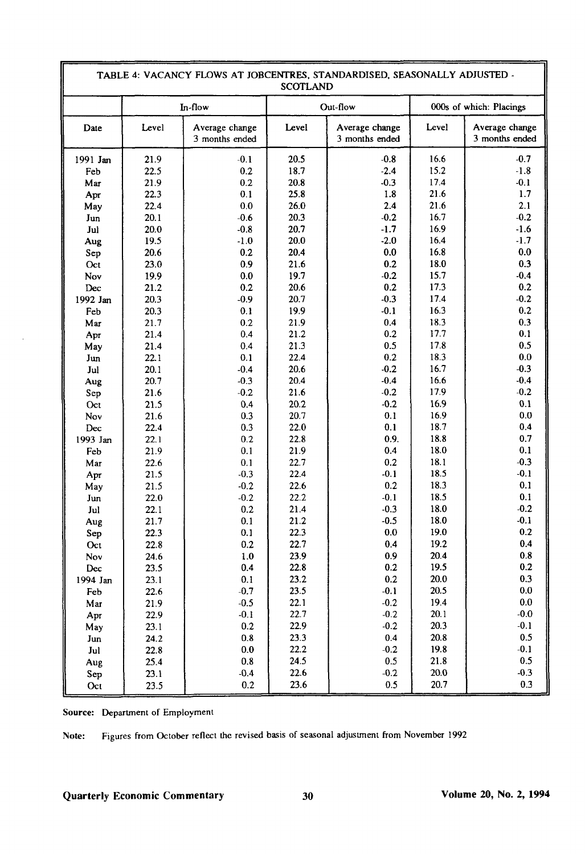| TABLE 4: VACANCY FLOWS AT JOBCENTRES, STANDARDISED, SEASONALLY ADJUSTED -<br><b>SCOTLAND</b> |              |                                  |              |                                  |              |                                  |  |  |  |
|----------------------------------------------------------------------------------------------|--------------|----------------------------------|--------------|----------------------------------|--------------|----------------------------------|--|--|--|
|                                                                                              |              | In-flow                          |              | Out-flow                         |              | 000s of which: Placings          |  |  |  |
| Date                                                                                         | Level        | Average change<br>3 months ended | Level        | Average change<br>3 months ended | Level        | Average change<br>3 months ended |  |  |  |
| 1991 Jan                                                                                     | 21.9         | $-0.1$                           | 20.5         | $-0.8$                           | 16.6         | $-0.7$                           |  |  |  |
| Feb                                                                                          | 22.5         | 0.2                              | 18.7         | $-2.4$                           | 15.2         | $-1.8$                           |  |  |  |
| Mar                                                                                          | 21.9         | 0.2                              | 20.8         | $-0.3$                           | 17.4         | $-0.1$                           |  |  |  |
| Apr                                                                                          | 22.3         | 0.1                              | 25.8         | 1.8                              | 21.6         | 1.7                              |  |  |  |
| May                                                                                          | 22.4         | 0.0                              | 26.0         | 2.4                              | 21.6         | 2.1                              |  |  |  |
| Jun                                                                                          | 20.1         | $-0.6$                           | 20.3         | $-0.2$                           | 16.7         | $-0.2$                           |  |  |  |
| Jul                                                                                          | 20.0         | $-0.8$                           | 20.7         | $-1.7$                           | 16.9         | $-1.6$                           |  |  |  |
| Aug                                                                                          | 19.5         | $-1.0$                           | 20.0         | $-2.0$                           | 16.4         | $-1.7$                           |  |  |  |
| Sep                                                                                          | 20.6         | 0.2                              | 20.4         | 0.0                              | 16.8         | 0.0                              |  |  |  |
| Oct                                                                                          | 23.0         | 0.9                              | 21.6         | 0.2                              | 18.0         | 0.3                              |  |  |  |
| Nov                                                                                          | 19.9         | 0.0                              | 19.7         | $-0.2$                           | 15.7         | $-0.4$                           |  |  |  |
| Dec                                                                                          | 21.2         | 0.2                              | 20.6         | 0.2                              | 17.3         | 0.2                              |  |  |  |
| 1992 Jan                                                                                     | 20.3         | $-0.9$                           | 20.7         | $-0.3$                           | 17.4         | $-0.2$                           |  |  |  |
| Feb                                                                                          | 20.3         | 0.1                              | 19.9         | $-0.1$                           | 16.3         | 0.2                              |  |  |  |
| Mar                                                                                          | 21.7         | 0.2                              | 21.9         | 0.4                              | 18.3         | 0.3                              |  |  |  |
| Apr                                                                                          | 21.4         | 0.4                              | 21.2         | 0.2                              | 17.7         | 0.1                              |  |  |  |
| May                                                                                          | 21.4         | 0.4                              | 21.3         | 0.5                              | 17.8         | 0.5                              |  |  |  |
| Jun                                                                                          | 22.1         | 0.1                              | 22.4         | 0.2                              | 18.3         | 0.0                              |  |  |  |
| Jul                                                                                          | 20.1         | $-0.4$                           | 20.6         | $-0.2$                           | 16.7         | $-0.3$                           |  |  |  |
| Aug                                                                                          | 20.7         | $-0.3$                           | 20.4         | $-0.4$                           | 16.6         | $-0.4$                           |  |  |  |
| Sep                                                                                          | 21.6         | $-0.2$                           | 21.6         | $-0.2$                           | 17.9         | $-0.2$                           |  |  |  |
| Oct                                                                                          | 21.5         | 0.4                              | 20.2         | $-0.2$                           | 16.9         | 0.1                              |  |  |  |
| Nov                                                                                          | 21.6         | 0.3                              | 20.7         | 0.1                              | 16.9         | 0.0                              |  |  |  |
| Dec                                                                                          | 22.4         | 0.3                              | 22.0         | 0.1                              | 18.7         | 0.4                              |  |  |  |
| 1993 Jan                                                                                     | 22.1         | 0.2                              | 22.8         | 0.9.                             | 18.8         | 0.7                              |  |  |  |
| Feb                                                                                          | 21.9         | 0.1                              | 21.9         | 0.4                              | 18.0         | 0.1                              |  |  |  |
| Mar                                                                                          | 22.6         | 0.1                              | 22.7         | 0.2                              | 18.1         | $-0.3$                           |  |  |  |
| Apr                                                                                          | 21.5         | $-0.3$                           | 22.4         | $-0.1$                           | 18.5         | $-0.1$                           |  |  |  |
| May                                                                                          | 21.5         | $-0.2$                           | 22.6         | 0.2                              | 18.3         | 0.1                              |  |  |  |
| Jun                                                                                          | 22.0         | $-0.2$                           | 22.2         | $-0.1$                           | 18.5<br>18.0 | 0.1<br>$-0.2$                    |  |  |  |
| Jul                                                                                          | 22.1         | 0.2                              | 21.4         | $-0.3$<br>$-0.5$                 | 18.0         | $-0.1$                           |  |  |  |
| Aug                                                                                          | 21.7<br>22.3 | 0.1                              | 21.2<br>22.3 | 0.0                              | 19.0         | 0.2                              |  |  |  |
| Sep                                                                                          |              | 0.1<br>0.2                       | 22.7         | 0.4                              | 19.2         | 0.4                              |  |  |  |
| Oct                                                                                          | 22.8         | 1.0                              | 23.9         | 0.9                              | 20.4         | 0.8                              |  |  |  |
| Nov<br>Dec                                                                                   | 24.6<br>23.5 | 0.4                              | 22.8         | 0.2                              | 19.5         | 0.2                              |  |  |  |
| 1994 Jan                                                                                     | 23.1         | 0.1                              | 23.2         | 0.2                              | 20.0         | 0.3                              |  |  |  |
| Feb                                                                                          | 22.6         | $-0.7$                           | 23.5         | $-0.1$                           | 20.5         | $0.0\,$                          |  |  |  |
| Mar                                                                                          | 21.9         | $-0.5$                           | 22.1         | $-0.2$                           | 19.4         | $0.0\,$                          |  |  |  |
| Apr                                                                                          | 22.9         | $-0.1$                           | 22.7         | $-0.2$                           | 20.1         | $-0.0$                           |  |  |  |
| May                                                                                          | 23.1         | $0.2\,$                          | 22.9         | $-0.2$                           | 20.3         | $-0.1$                           |  |  |  |
| Jun                                                                                          | 24.2         | $0.8\,$                          | 23.3         | 0.4                              | 20.8         | 0.5                              |  |  |  |
| Jul                                                                                          | 22.8         | $0.0\,$                          | 22.2         | $-0.2$                           | 19.8         | $-0.1$                           |  |  |  |
| Aug                                                                                          | 25.4         | $0.8\,$                          | 24.5         | 0.5                              | 21.8         | 0.5                              |  |  |  |
| Sep                                                                                          | 23.1         | $-0.4$                           | 22.6         | $-0.2$                           | 20.0         | $-0.3$                           |  |  |  |
| Oct                                                                                          | 23.5         | 0.2                              | 23.6         | 0.5                              | 20.7         | 0.3                              |  |  |  |

**Source:** Department of Employment

Note: Figures from October reflect the revised basis of seasonal adjustment from November 1992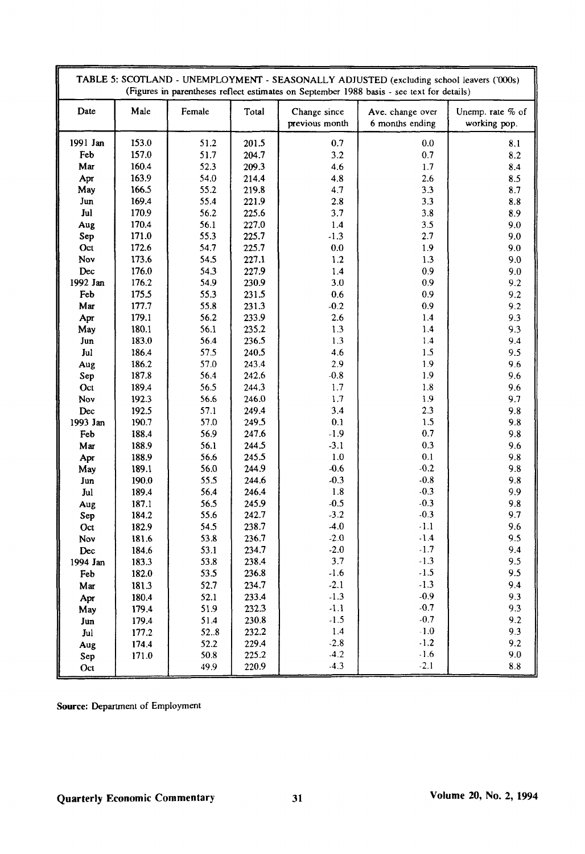|             | TABLE 5: SCOTLAND - UNEMPLOYMENT - SEASONALLY ADJUSTED (excluding school leavers ('000s)<br>(Figures in parentheses reflect estimates on September 1988 basis - see text for details) |              |                |                                |                                     |                                  |  |  |
|-------------|---------------------------------------------------------------------------------------------------------------------------------------------------------------------------------------|--------------|----------------|--------------------------------|-------------------------------------|----------------------------------|--|--|
| Date        | Male                                                                                                                                                                                  | Female       | Total          | Change since<br>previous month | Ave. change over<br>6 months ending | Unemp. rate % of<br>working pop. |  |  |
| 1991 Jan    | 153.0                                                                                                                                                                                 | 51.2         | 201.5          | 0.7                            | 0.0                                 | 8.1                              |  |  |
| Feb         | 157.0                                                                                                                                                                                 | 51.7         | 204.7          | 3.2                            | 0.7                                 | 8.2                              |  |  |
| Mar         | 160.4                                                                                                                                                                                 | 52.3         | 209.3          | 4.6                            | 1.7                                 | 8.4                              |  |  |
| Apr         | 163.9                                                                                                                                                                                 | 54.0         | 214.4          | 4.8                            | 2.6                                 | 8.5                              |  |  |
| May         | 166.5                                                                                                                                                                                 | 55.2         | 219.8          | 4.7                            | 3.3                                 | 8.7                              |  |  |
| Jun         | 169.4                                                                                                                                                                                 | 55.4         | 221.9          | 2.8                            | 3.3                                 | $\bf 8.8$                        |  |  |
| Jul         | 170.9                                                                                                                                                                                 | 56.2         | 225.6          | 3.7                            | 3.8                                 | 8.9                              |  |  |
| Aug         | 170.4                                                                                                                                                                                 | 56.1         | 227.0          | 1.4                            | 3.5                                 | 9.0                              |  |  |
| ${\bf Sep}$ | 171.0                                                                                                                                                                                 | 55.3         | 225.7          | $-1.3$                         | 2.7                                 | 9.0                              |  |  |
| Oct         | 172.6                                                                                                                                                                                 | 54.7         | 225.7          | 0.0                            | 1.9                                 | 9.0                              |  |  |
| Nov         | 173.6                                                                                                                                                                                 | 54.5         | 227.1          | 1.2                            | 1.3                                 | 9.0                              |  |  |
| Dec         | 176.0                                                                                                                                                                                 | 54.3         | 227.9          | 1.4                            | 0.9                                 | 9.0                              |  |  |
| 1992 Jan    | 176.2                                                                                                                                                                                 | 54.9         | 230.9          | 3.0                            | 0.9                                 | 9.2                              |  |  |
| Feb         | 175.5                                                                                                                                                                                 | 55.3         | 231.5          | 0.6                            | 0.9                                 | 9.2                              |  |  |
| Mar         | 177.7                                                                                                                                                                                 | 55.8         | 231.3          | $-0.2$                         | 0.9                                 | 9.2                              |  |  |
| Apr         | 179.1                                                                                                                                                                                 | 56.2         | 233.9          | 2.6                            | 1.4                                 | 9.3                              |  |  |
| May         | 180.1                                                                                                                                                                                 | 56.1         | 235.2          | 1.3                            | 1.4                                 | 9.3                              |  |  |
| Jun         | 183.0                                                                                                                                                                                 | 56.4         | 236.5          | 1.3                            | 1.4                                 | 9.4                              |  |  |
| Jul         | 186.4                                                                                                                                                                                 | 57.5         | 240.5          | 4.6                            | 1.5                                 | 9.5                              |  |  |
| Aug         | 186.2                                                                                                                                                                                 | 57.0         | 243.4          | 2.9                            | 1.9                                 | 9.6                              |  |  |
| Sep         | 187.8                                                                                                                                                                                 | 56.4         | 242.6          | $-0.8$                         | 1.9                                 | 9.6                              |  |  |
| Oct         | 189.4                                                                                                                                                                                 | 56.5         | 244.3          | 1.7                            | 1.8                                 | 9.6                              |  |  |
| Nov         | 192.3                                                                                                                                                                                 | 56.6         | 246.0          | 1.7                            | 1.9                                 | 9.7                              |  |  |
| Dec         | 192.5                                                                                                                                                                                 | 57.1         | 249.4          | 3.4                            | 2.3                                 | 9.8                              |  |  |
| 1993 Jan    | 190.7                                                                                                                                                                                 | 57.0         | 249.5          | 0.1                            | 1.5                                 | 9.8                              |  |  |
| Feb         | 188.4                                                                                                                                                                                 | 56.9         | 247.6          | $-1.9$                         | 0.7                                 | 9.8                              |  |  |
| Mar         | 188.9                                                                                                                                                                                 | 56.1         | 244.5          | $-3.1$                         | 0.3                                 | 9.6                              |  |  |
| Apr         | 188.9                                                                                                                                                                                 | 56.6         | 245.5          | 1.0                            | 0.1                                 | 9.8                              |  |  |
| May         | 189.1                                                                                                                                                                                 | 56.0         | 244.9          | $-0.6$                         | $-0.2$                              | 9.8                              |  |  |
| Jun         | 190.0                                                                                                                                                                                 | 55.5         | 244.6          | $-0.3$                         | $-0.8$                              | 9.8                              |  |  |
| Jul         | 189.4                                                                                                                                                                                 | 56.4         | 246.4          | 1.8                            | $-0.3$                              | 9.9                              |  |  |
| Aug         | 187.1                                                                                                                                                                                 | 56.5         | 245.9          | $-0.5$                         | $-0.3$                              | 9.8                              |  |  |
| Sep         | 184.2                                                                                                                                                                                 | 55.6         | 242.7          | $-3.2$                         | $-0.3$                              | 9.7                              |  |  |
| Oct         | 182.9                                                                                                                                                                                 | 54.5         | 238.7          | $-4.0$                         | $-1.1$                              | 9.6                              |  |  |
| Nov         | 181.6                                                                                                                                                                                 | 53.8         | 236.7          | $-2.0$                         | $-1.4$                              | 9.5                              |  |  |
| Dec         | 184.6                                                                                                                                                                                 | 53.1         | 234.7          | $-2.0$                         | $-1.7$                              | 9.4                              |  |  |
| 1994 Jan    | 183.3                                                                                                                                                                                 | 53.8         | 238.4          | 3.7                            | $-1.3$                              | 9.5                              |  |  |
| Feb         | 182.0                                                                                                                                                                                 | 53.5         | 236.8          | $-1.6$                         | $-1.5$                              | 9.5                              |  |  |
| Mar         | 181.3                                                                                                                                                                                 | 52.7         | 234.7          | $-2.1$                         | $-1.3$                              | 9.4                              |  |  |
| Apr         | 180.4                                                                                                                                                                                 | 52.1         | 233.4          | $-1.3$                         | $-0.9$<br>$-0.7$                    | 9.3                              |  |  |
| May         | 179.4                                                                                                                                                                                 | 51.9         | 232.3          | $-1.1$                         | $-0.7$                              | 9.3                              |  |  |
| Jun         | 179.4                                                                                                                                                                                 | 51.4         | 230.8          | $-1.5$<br>$1.4$                | $\cdot1.0$                          | 9.2<br>9.3                       |  |  |
| Jul         | 177.2                                                                                                                                                                                 | 52.8         | 232.2          | $-2.8$                         | $-1.2$                              | 9.2                              |  |  |
| Aug         | 174.4                                                                                                                                                                                 | 52.2<br>50.8 | 229.4<br>225.2 | $-4.2$                         | $-1.6$                              | 9.0                              |  |  |
| Sep<br>Oct  | 171.0                                                                                                                                                                                 | 49.9         | 220.9          | $-4.3$                         | $-2.1$                              | $\bf 8.8$                        |  |  |

**Source:** Department of Employment